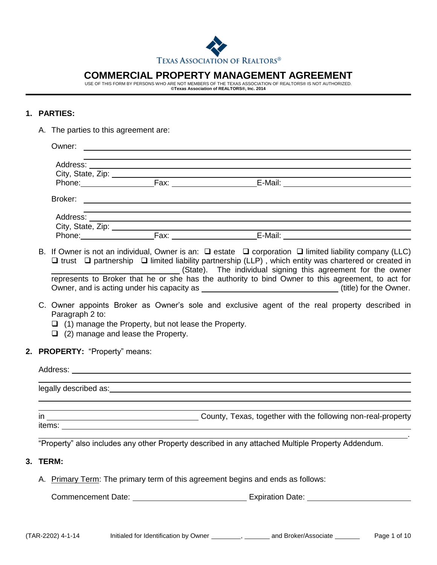

# **COMMERCIAL PROPERTY MANAGEMENT AGREEMENT**

USE OF THIS FORM BY PERSONS WHO ARE NOT MEMBERS OF THE TEXAS ASSOCIATION OF REALTORS® IS NOT AUTHORIZED. **©Texas Association of REALTORS®, Inc. 2014**

## **1. PARTIES:**

A. The parties to this agreement are:

|  |                                                                                                                                                                                                                                | Address: ______                                                                                                                                                                                                                                                                                                                                                                                                              |                                                                                                    |                                                             | ,我们也不会有什么。""我们的人,我们也不会有什么?""我们的人,我们也不会有什么?""我们的人,我们也不会有什么?""我们的人,我们也不会有什么?""我们的人                                 |                                                                                                |  |  |
|--|--------------------------------------------------------------------------------------------------------------------------------------------------------------------------------------------------------------------------------|------------------------------------------------------------------------------------------------------------------------------------------------------------------------------------------------------------------------------------------------------------------------------------------------------------------------------------------------------------------------------------------------------------------------------|----------------------------------------------------------------------------------------------------|-------------------------------------------------------------|------------------------------------------------------------------------------------------------------------------|------------------------------------------------------------------------------------------------|--|--|
|  |                                                                                                                                                                                                                                |                                                                                                                                                                                                                                                                                                                                                                                                                              |                                                                                                    |                                                             |                                                                                                                  |                                                                                                |  |  |
|  |                                                                                                                                                                                                                                |                                                                                                                                                                                                                                                                                                                                                                                                                              |                                                                                                    |                                                             |                                                                                                                  |                                                                                                |  |  |
|  |                                                                                                                                                                                                                                |                                                                                                                                                                                                                                                                                                                                                                                                                              |                                                                                                    |                                                             |                                                                                                                  |                                                                                                |  |  |
|  |                                                                                                                                                                                                                                |                                                                                                                                                                                                                                                                                                                                                                                                                              |                                                                                                    |                                                             | and the control of the control of the control of the control of the control of the control of the control of the |                                                                                                |  |  |
|  |                                                                                                                                                                                                                                |                                                                                                                                                                                                                                                                                                                                                                                                                              |                                                                                                    |                                                             |                                                                                                                  |                                                                                                |  |  |
|  |                                                                                                                                                                                                                                |                                                                                                                                                                                                                                                                                                                                                                                                                              |                                                                                                    |                                                             |                                                                                                                  |                                                                                                |  |  |
|  |                                                                                                                                                                                                                                | B. If Owner is not an individual, Owner is an: $\square$ estate $\square$ corporation $\square$ limited liability company (LLC)<br>$\Box$ trust $\Box$ partnership $\Box$ limited liability partnership (LLP), which entity was chartered or created in<br>(State). The individual signing this agreement for the owner<br>represents to Broker that he or she has the authority to bind Owner to this agreement, to act for |                                                                                                    |                                                             |                                                                                                                  |                                                                                                |  |  |
|  |                                                                                                                                                                                                                                |                                                                                                                                                                                                                                                                                                                                                                                                                              | Owner, and is acting under his capacity as _________________________________(title) for the Owner. |                                                             |                                                                                                                  |                                                                                                |  |  |
|  |                                                                                                                                                                                                                                | Paragraph 2 to:                                                                                                                                                                                                                                                                                                                                                                                                              | $\Box$ (2) manage and lease the Property.                                                          | $\Box$ (1) manage the Property, but not lease the Property. |                                                                                                                  | C. Owner appoints Broker as Owner's sole and exclusive agent of the real property described in |  |  |
|  | 2. PROPERTY: "Property" means:                                                                                                                                                                                                 |                                                                                                                                                                                                                                                                                                                                                                                                                              |                                                                                                    |                                                             |                                                                                                                  |                                                                                                |  |  |
|  |                                                                                                                                                                                                                                |                                                                                                                                                                                                                                                                                                                                                                                                                              |                                                                                                    |                                                             |                                                                                                                  |                                                                                                |  |  |
|  | legally described as: expression and the set of the set of the set of the set of the set of the set of the set of the set of the set of the set of the set of the set of the set of the set of the set of the set of the set o |                                                                                                                                                                                                                                                                                                                                                                                                                              |                                                                                                    |                                                             |                                                                                                                  |                                                                                                |  |  |
|  |                                                                                                                                                                                                                                |                                                                                                                                                                                                                                                                                                                                                                                                                              |                                                                                                    |                                                             |                                                                                                                  |                                                                                                |  |  |
|  |                                                                                                                                                                                                                                |                                                                                                                                                                                                                                                                                                                                                                                                                              |                                                                                                    |                                                             |                                                                                                                  |                                                                                                |  |  |
|  | "Property" also includes any other Property described in any attached Multiple Property Addendum.                                                                                                                              |                                                                                                                                                                                                                                                                                                                                                                                                                              |                                                                                                    |                                                             |                                                                                                                  |                                                                                                |  |  |
|  |                                                                                                                                                                                                                                | 3. TERM:                                                                                                                                                                                                                                                                                                                                                                                                                     |                                                                                                    |                                                             |                                                                                                                  |                                                                                                |  |  |
|  |                                                                                                                                                                                                                                | A. Primary Term: The primary term of this agreement begins and ends as follows:                                                                                                                                                                                                                                                                                                                                              |                                                                                                    |                                                             |                                                                                                                  |                                                                                                |  |  |
|  |                                                                                                                                                                                                                                |                                                                                                                                                                                                                                                                                                                                                                                                                              |                                                                                                    |                                                             |                                                                                                                  |                                                                                                |  |  |
|  |                                                                                                                                                                                                                                |                                                                                                                                                                                                                                                                                                                                                                                                                              |                                                                                                    |                                                             |                                                                                                                  |                                                                                                |  |  |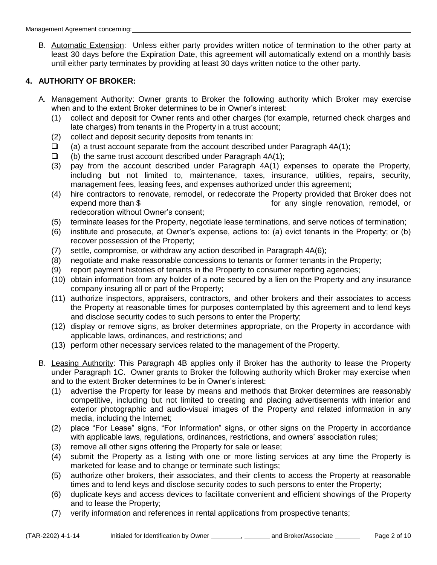B. Automatic Extension: Unless either party provides written notice of termination to the other party at least 30 days before the Expiration Date, this agreement will automatically extend on a monthly basis until either party terminates by providing at least 30 days written notice to the other party.

# **4. AUTHORITY OF BROKER:**

- A. Management Authority: Owner grants to Broker the following authority which Broker may exercise when and to the extent Broker determines to be in Owner's interest:
	- (1) collect and deposit for Owner rents and other charges (for example, returned check charges and late charges) from tenants in the Property in a trust account;
	- (2) collect and deposit security deposits from tenants in:
	- (a) a trust account separate from the account described under Paragraph  $4A(1)$ ;
	- $\Box$  (b) the same trust account described under Paragraph 4A(1);
	- (3) pay from the account described under Paragraph 4A(1) expenses to operate the Property, including but not limited to, maintenance, taxes, insurance, utilities, repairs, security, management fees, leasing fees, and expenses authorized under this agreement;
	- (4) hire contractors to renovate, remodel, or redecorate the Property provided that Broker does not expend more than \$ redecoration without Owner's consent;
	- (5) terminate leases for the Property, negotiate lease terminations, and serve notices of termination;
	- (6) institute and prosecute, at Owner's expense, actions to: (a) evict tenants in the Property; or (b) recover possession of the Property;
	- (7) settle, compromise, or withdraw any action described in Paragraph 4A(6);
	- (8) negotiate and make reasonable concessions to tenants or former tenants in the Property;
	- (9) report payment histories of tenants in the Property to consumer reporting agencies;
	- (10) obtain information from any holder of a note secured by a lien on the Property and any insurance company insuring all or part of the Property;
	- (11) authorize inspectors, appraisers, contractors, and other brokers and their associates to access the Property at reasonable times for purposes contemplated by this agreement and to lend keys and disclose security codes to such persons to enter the Property;
	- (12) display or remove signs, as broker determines appropriate, on the Property in accordance with applicable laws, ordinances, and restrictions; and
	- (13) perform other necessary services related to the management of the Property.
- B. Leasing Authority: This Paragraph 4B applies only if Broker has the authority to lease the Property under Paragraph 1C. Owner grants to Broker the following authority which Broker may exercise when and to the extent Broker determines to be in Owner's interest:
	- (1) advertise the Property for lease by means and methods that Broker determines are reasonably competitive, including but not limited to creating and placing advertisements with interior and exterior photographic and audio-visual images of the Property and related information in any media, including the Internet;
	- (2) place "For Lease" signs, "For Information" signs, or other signs on the Property in accordance with applicable laws, regulations, ordinances, restrictions, and owners' association rules;
	- (3) remove all other signs offering the Property for sale or lease;
	- (4) submit the Property as a listing with one or more listing services at any time the Property is marketed for lease and to change or terminate such listings;
	- (5) authorize other brokers, their associates, and their clients to access the Property at reasonable times and to lend keys and disclose security codes to such persons to enter the Property;
	- (6) duplicate keys and access devices to facilitate convenient and efficient showings of the Property and to lease the Property;
	- (7) verify information and references in rental applications from prospective tenants;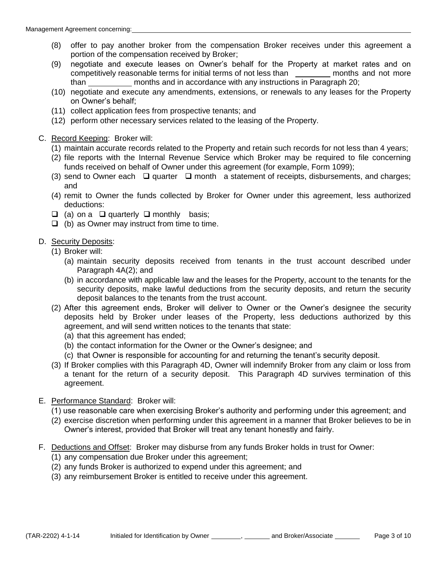- (8) offer to pay another broker from the compensation Broker receives under this agreement a portion of the compensation received by Broker;
- (9) negotiate and execute leases on Owner's behalf for the Property at market rates and on competitively reasonable terms for initial terms of not less than \_\_\_\_\_\_\_\_\_ months and not more than \_\_\_\_\_\_\_\_\_\_\_ months and in accordance with any instructions in Paragraph 20;
- (10) negotiate and execute any amendments, extensions, or renewals to any leases for the Property on Owner's behalf;
- (11) collect application fees from prospective tenants; and
- (12) perform other necessary services related to the leasing of the Property.
- C. Record Keeping: Broker will:
	- (1) maintain accurate records related to the Property and retain such records for not less than 4 years;
	- (2) file reports with the Internal Revenue Service which Broker may be required to file concerning funds received on behalf of Owner under this agreement (for example, Form 1099);
	- (3) send to Owner each  $\Box$  quarter  $\Box$  month a statement of receipts, disbursements, and charges; and
	- (4) remit to Owner the funds collected by Broker for Owner under this agreement, less authorized deductions:
	- $\Box$  (a) on a  $\Box$  quarterly  $\Box$  monthly basis;
	- $\Box$  (b) as Owner may instruct from time to time.

#### D. Security Deposits:

- (1) Broker will:
	- (a) maintain security deposits received from tenants in the trust account described under Paragraph 4A(2); and
	- (b) in accordance with applicable law and the leases for the Property, account to the tenants for the security deposits, make lawful deductions from the security deposits, and return the security deposit balances to the tenants from the trust account.
- (2) After this agreement ends, Broker will deliver to Owner or the Owner's designee the security deposits held by Broker under leases of the Property, less deductions authorized by this agreement, and will send written notices to the tenants that state:
	- (a) that this agreement has ended;
	- (b) the contact information for the Owner or the Owner's designee; and
	- (c) that Owner is responsible for accounting for and returning the tenant's security deposit.
- (3) If Broker complies with this Paragraph 4D, Owner will indemnify Broker from any claim or loss from a tenant for the return of a security deposit. This Paragraph 4D survives termination of this agreement.
- E. Performance Standard: Broker will:
	- (1) use reasonable care when exercising Broker's authority and performing under this agreement; and
	- (2) exercise discretion when performing under this agreement in a manner that Broker believes to be in Owner's interest, provided that Broker will treat any tenant honestly and fairly.
- F. Deductions and Offset: Broker may disburse from any funds Broker holds in trust for Owner:
	- (1) any compensation due Broker under this agreement;
	- (2) any funds Broker is authorized to expend under this agreement; and
	- (3) any reimbursement Broker is entitled to receive under this agreement.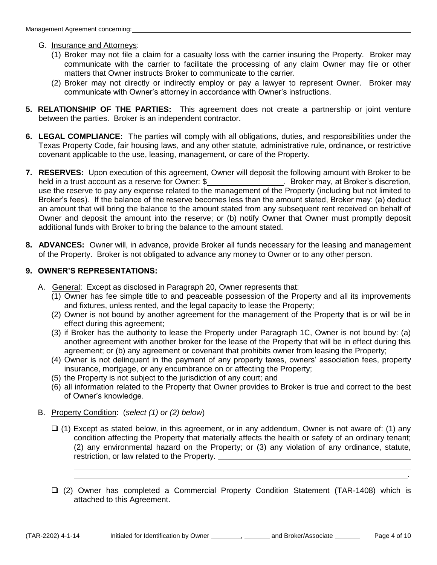#### G. Insurance and Attorneys:

- (1) Broker may not file a claim for a casualty loss with the carrier insuring the Property. Broker may communicate with the carrier to facilitate the processing of any claim Owner may file or other matters that Owner instructs Broker to communicate to the carrier.
- (2) Broker may not directly or indirectly employ or pay a lawyer to represent Owner. Broker may communicate with Owner's attorney in accordance with Owner's instructions.
- **5. RELATIONSHIP OF THE PARTIES:** This agreement does not create a partnership or joint venture between the parties. Broker is an independent contractor.
- **6. LEGAL COMPLIANCE:** The parties will comply with all obligations, duties, and responsibilities under the Texas Property Code, fair housing laws, and any other statute, administrative rule, ordinance, or restrictive covenant applicable to the use, leasing, management, or care of the Property.
- **7. RESERVES:** Upon execution of this agreement, Owner will deposit the following amount with Broker to be held in a trust account as a reserve for Owner: \$\_\_\_\_\_\_\_\_\_\_\_\_\_\_\_\_\_\_\_\_. Broker may, at Broker's discretion, use the reserve to pay any expense related to the management of the Property (including but not limited to Broker's fees). If the balance of the reserve becomes less than the amount stated, Broker may: (a) deduct an amount that will bring the balance to the amount stated from any subsequent rent received on behalf of Owner and deposit the amount into the reserve; or (b) notify Owner that Owner must promptly deposit additional funds with Broker to bring the balance to the amount stated.
- **8. ADVANCES:** Owner will, in advance, provide Broker all funds necessary for the leasing and management of the Property. Broker is not obligated to advance any money to Owner or to any other person.

## **9. OWNER'S REPRESENTATIONS:**

- A. General: Except as disclosed in Paragraph 20, Owner represents that:
	- (1) Owner has fee simple title to and peaceable possession of the Property and all its improvements and fixtures, unless rented, and the legal capacity to lease the Property;
	- (2) Owner is not bound by another agreement for the management of the Property that is or will be in effect during this agreement;
	- (3) if Broker has the authority to lease the Property under Paragraph 1C, Owner is not bound by: (a) another agreement with another broker for the lease of the Property that will be in effect during this agreement; or (b) any agreement or covenant that prohibits owner from leasing the Property;
	- (4) Owner is not delinquent in the payment of any property taxes, owners' association fees, property insurance, mortgage, or any encumbrance on or affecting the Property;
	- (5) the Property is not subject to the jurisdiction of any court; and
	- (6) all information related to the Property that Owner provides to Broker is true and correct to the best of Owner's knowledge.
- B. Property Condition: (*select (1) or (2) below*)
	- $\Box$  (1) Except as stated below, in this agreement, or in any addendum, Owner is not aware of: (1) any condition affecting the Property that materially affects the health or safety of an ordinary tenant; (2) any environmental hazard on the Property; or (3) any violation of any ordinance, statute, restriction, or law related to the Property.  $\overline{a}$
	- (2) Owner has completed a Commercial Property Condition Statement (TAR-1408) which is attached to this Agreement.

<u>. Andre de la contrada de la contrada de la contrada de la contrada de la contrada de la contrada de la contra</u>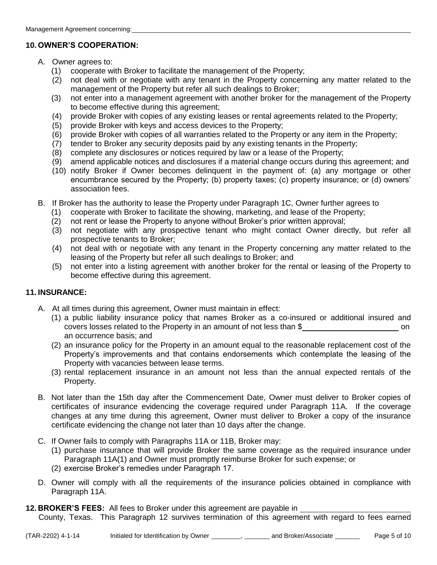## **10. OWNER'S COOPERATION:**

- A. Owner agrees to:
	- (1) cooperate with Broker to facilitate the management of the Property;
	- (2) not deal with or negotiate with any tenant in the Property concerning any matter related to the management of the Property but refer all such dealings to Broker;
	- (3) not enter into a management agreement with another broker for the management of the Property to become effective during this agreement;
	- (4) provide Broker with copies of any existing leases or rental agreements related to the Property;
	- (5) provide Broker with keys and access devices to the Property;
	- (6) provide Broker with copies of all warranties related to the Property or any item in the Property;
	- $\overrightarrow{p}$  tender to Broker any security deposits paid by any existing tenants in the Property;
	- (8) complete any disclosures or notices required by law or a lease of the Property;
	- (9) amend applicable notices and disclosures if a material change occurs during this agreement; and
	- (10) notify Broker if Owner becomes delinquent in the payment of: (a) any mortgage or other encumbrance secured by the Property; (b) property taxes; (c) property insurance; or (d) owners' association fees.
- B. If Broker has the authority to lease the Property under Paragraph 1C, Owner further agrees to
	- (1) cooperate with Broker to facilitate the showing, marketing, and lease of the Property;
	- (2) not rent or lease the Property to anyone without Broker's prior written approval;
	- (3) not negotiate with any prospective tenant who might contact Owner directly, but refer all prospective tenants to Broker;
	- (4) not deal with or negotiate with any tenant in the Property concerning any matter related to the leasing of the Property but refer all such dealings to Broker; and
	- (5) not enter into a listing agreement with another broker for the rental or leasing of the Property to become effective during this agreement.

## **11. INSURANCE:**

- A. At all times during this agreement, Owner must maintain in effect:
	- (1) a public liability insurance policy that names Broker as a co-insured or additional insured and covers losses related to the Property in an amount of not less than \$ on an occurrence basis; and
	- (2) an insurance policy for the Property in an amount equal to the reasonable replacement cost of the Property's improvements and that contains endorsements which contemplate the leasing of the Property with vacancies between lease terms.
	- (3) rental replacement insurance in an amount not less than the annual expected rentals of the Property.
- B. Not later than the 15th day after the Commencement Date, Owner must deliver to Broker copies of certificates of insurance evidencing the coverage required under Paragraph 11A. If the coverage changes at any time during this agreement, Owner must deliver to Broker a copy of the insurance certificate evidencing the change not later than 10 days after the change.
- C. If Owner fails to comply with Paragraphs 11A or 11B, Broker may:
	- (1) purchase insurance that will provide Broker the same coverage as the required insurance under Paragraph 11A(1) and Owner must promptly reimburse Broker for such expense; or
	- (2) exercise Broker's remedies under Paragraph 17.
- D. Owner will comply with all the requirements of the insurance policies obtained in compliance with Paragraph 11A.
- **12. BROKER'S FEES:** All fees to Broker under this agreement are payable in County, Texas. This Paragraph 12 survives termination of this agreement with regard to fees earned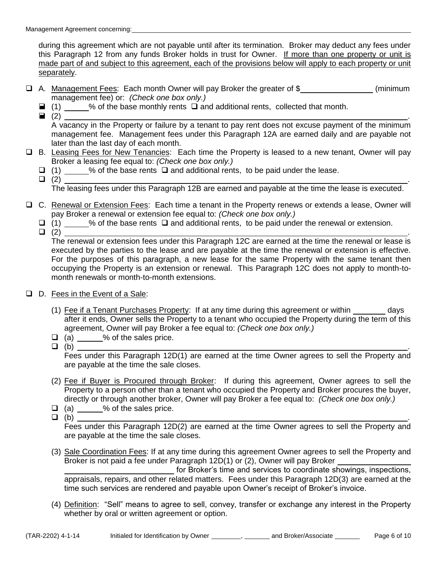during this agreement which are not payable until after its termination. Broker may deduct any fees under this Paragraph 12 from any funds Broker holds in trust for Owner. If more than one property or unit is made part of and subject to this agreement, each of the provisions below will apply to each property or unit separately.

- □ A. Management Fees: Each month Owner will pay Broker the greater of \$ management fee) or: *(Check one box only.)*
	- (1) % of the base monthly rents  $\Box$  and additional rents, collected that month.
	- $\blacksquare$  (2)  $\blacksquare$

 A vacancy in the Property or failure by a tenant to pay rent does not excuse payment of the minimum management fee. Management fees under this Paragraph 12A are earned daily and are payable not later than the last day of each month.

- □ B. Leasing Fees for New Tenancies: Each time the Property is leased to a new tenant, Owner will pay Broker a leasing fee equal to: *(Check one box only.)* 
	- $\Box$  (1) % of the base rents  $\Box$  and additional rents, to be paid under the lease.
- $\Box$  (2)  $\Box$ The leasing fees under this Paragraph 12B are earned and payable at the time the lease is executed.
- C. Renewal or Extension Fees: Each time a tenant in the Property renews or extends a lease, Owner will pay Broker a renewal or extension fee equal to: *(Check one box only.)* 
	- $\Box$  (1)  $\Box$  % of the base rents  $\Box$  and additional rents, to be paid under the renewal or extension.
	-

 $\Box$  (2)  $\Box$  The renewal or extension fees under this Paragraph 12C are earned at the time the renewal or lease is executed by the parties to the lease and are payable at the time the renewal or extension is effective. For the purposes of this paragraph, a new lease for the same Property with the same tenant then occupying the Property is an extension or renewal. This Paragraph 12C does not apply to month-tomonth renewals or month-to-month extensions.

- □ D. Fees in the Event of a Sale:
	- (1) Fee if a Tenant Purchases Property: If at any time during this agreement or within days after it ends, Owner sells the Property to a tenant who occupied the Property during the term of this agreement, Owner will pay Broker a fee equal to: *(Check one box only.)*
	- $\begin{array}{c} \square \text{ (a)} \longrightarrow \text{% of the sales price.} \\ \square \text{ (b)} \end{array}$
- $\Box$  (b)  $\Box$

 Fees under this Paragraph 12D(1) are earned at the time Owner agrees to sell the Property and are payable at the time the sale closes.

- (2) Fee if Buyer is Procured through Broker: If during this agreement, Owner agrees to sell the Property to a person other than a tenant who occupied the Property and Broker procures the buyer, directly or through another broker, Owner will pay Broker a fee equal to: *(Check one box only.)*
- $\Box$  (a)  $\Box$  % of the sales price.
- $\Box$  (b)  $\Box$

 Fees under this Paragraph 12D(2) are earned at the time Owner agrees to sell the Property and are payable at the time the sale closes.

 (3) Sale Coordination Fees: If at any time during this agreement Owner agrees to sell the Property and Broker is not paid a fee under Paragraph 12D(1) or (2), Owner will pay Broker

 for Broker's time and services to coordinate showings, inspections, appraisals, repairs, and other related matters. Fees under this Paragraph 12D(3) are earned at the time such services are rendered and payable upon Owner's receipt of Broker's invoice.

 (4) Definition: "Sell" means to agree to sell, convey, transfer or exchange any interest in the Property whether by oral or written agreement or option.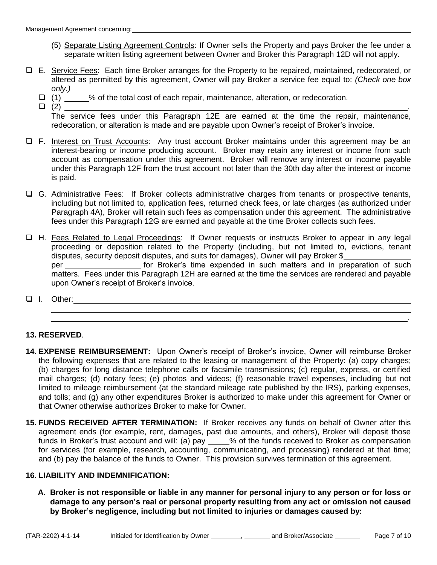- (5) Separate Listing Agreement Controls: If Owner sells the Property and pays Broker the fee under a separate written listing agreement between Owner and Broker this Paragraph 12D will not apply.
- □ E. Service Fees: Each time Broker arranges for the Property to be repaired, maintained, redecorated, or altered as permitted by this agreement, Owner will pay Broker a service fee equal to: *(Check one box only.)* 
	- (1) \_\_\_\_\_% of the total cost of each repair, maintenance, alteration, or redecoration.
- $\Box$  (2)  $\Box$  The service fees under this Paragraph 12E are earned at the time the repair, maintenance, redecoration, or alteration is made and are payable upon Owner's receipt of Broker's invoice.
- □ F. Interest on Trust Accounts: Any trust account Broker maintains under this agreement may be an interest-bearing or income producing account. Broker may retain any interest or income from such account as compensation under this agreement. Broker will remove any interest or income payable under this Paragraph 12F from the trust account not later than the 30th day after the interest or income is paid.
- G. Administrative Fees: If Broker collects administrative charges from tenants or prospective tenants, including but not limited to, application fees, returned check fees, or late charges (as authorized under Paragraph 4A), Broker will retain such fees as compensation under this agreement. The administrative fees under this Paragraph 12G are earned and payable at the time Broker collects such fees.
- □ H. Fees Related to Legal Proceedings: If Owner requests or instructs Broker to appear in any legal proceeding or deposition related to the Property (including, but not limited to, evictions, tenant disputes, security deposit disputes, and suits for damages), Owner will pay Broker \$ per for Broker's time expended in such matters and in preparation of such matters. Fees under this Paragraph 12H are earned at the time the services are rendered and payable upon Owner's receipt of Broker's invoice.

<u>. Andre de la contrada de la contrada de la contrada de la contrada de la contrada de la contrada de la contra</u>

**I.** Other: **I.** Other:  $\overline{a}$ 

## **13. RESERVED**.

- **14. EXPENSE REIMBURSEMENT:** Upon Owner's receipt of Broker's invoice, Owner will reimburse Broker the following expenses that are related to the leasing or management of the Property: (a) copy charges; (b) charges for long distance telephone calls or facsimile transmissions; (c) regular, express, or certified mail charges; (d) notary fees; (e) photos and videos; (f) reasonable travel expenses, including but not limited to mileage reimbursement (at the standard mileage rate published by the IRS), parking expenses, and tolls; and (g) any other expenditures Broker is authorized to make under this agreement for Owner or that Owner otherwise authorizes Broker to make for Owner.
- **15. FUNDS RECEIVED AFTER TERMINATION:** If Broker receives any funds on behalf of Owner after this agreement ends (for example, rent, damages, past due amounts, and others), Broker will deposit those funds in Broker's trust account and will: (a) pay \_\_\_\_% of the funds received to Broker as compensation for services (for example, research, accounting, communicating, and processing) rendered at that time; and (b) pay the balance of the funds to Owner. This provision survives termination of this agreement.

## **16. LIABILITY AND INDEMNIFICATION:**

**A. Broker is not responsible or liable in any manner for personal injury to any person or for loss or damage to any person's real or personal property resulting from any act or omission not caused by Broker's negligence, including but not limited to injuries or damages caused by:**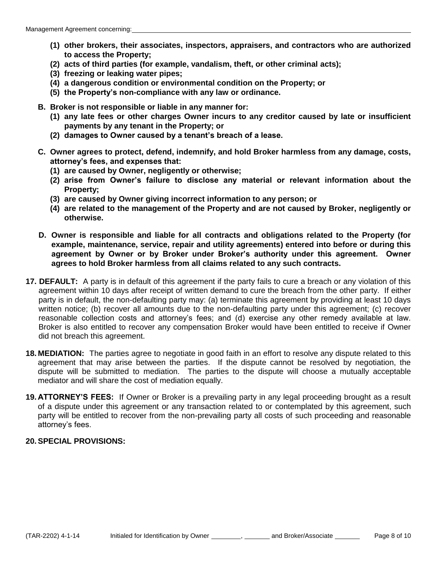- **(1) other brokers, their associates, inspectors, appraisers, and contractors who are authorized to access the Property;**
- **(2) acts of third parties (for example, vandalism, theft, or other criminal acts);**
- **(3) freezing or leaking water pipes;**
- **(4) a dangerous condition or environmental condition on the Property; or**
- **(5) the Property's non-compliance with any law or ordinance.**
- **B. Broker is not responsible or liable in any manner for:** 
	- **(1) any late fees or other charges Owner incurs to any creditor caused by late or insufficient payments by any tenant in the Property; or**
	- **(2) damages to Owner caused by a tenant's breach of a lease.**
- **C. Owner agrees to protect, defend, indemnify, and hold Broker harmless from any damage, costs, attorney's fees, and expenses that:**
	- **(1) are caused by Owner, negligently or otherwise;**
	- **(2) arise from Owner's failure to disclose any material or relevant information about the Property;**
	- **(3) are caused by Owner giving incorrect information to any person; or**
	- **(4) are related to the management of the Property and are not caused by Broker, negligently or otherwise.**
- **D. Owner is responsible and liable for all contracts and obligations related to the Property (for example, maintenance, service, repair and utility agreements) entered into before or during this agreement by Owner or by Broker under Broker's authority under this agreement. Owner agrees to hold Broker harmless from all claims related to any such contracts.**
- **17. DEFAULT:** A party is in default of this agreement if the party fails to cure a breach or any violation of this agreement within 10 days after receipt of written demand to cure the breach from the other party. If either party is in default, the non-defaulting party may: (a) terminate this agreement by providing at least 10 days written notice; (b) recover all amounts due to the non-defaulting party under this agreement; (c) recover reasonable collection costs and attorney's fees; and (d) exercise any other remedy available at law. Broker is also entitled to recover any compensation Broker would have been entitled to receive if Owner did not breach this agreement.
- **18. MEDIATION:** The parties agree to negotiate in good faith in an effort to resolve any dispute related to this agreement that may arise between the parties. If the dispute cannot be resolved by negotiation, the dispute will be submitted to mediation. The parties to the dispute will choose a mutually acceptable mediator and will share the cost of mediation equally.
- **19. ATTORNEY'S FEES:** If Owner or Broker is a prevailing party in any legal proceeding brought as a result of a dispute under this agreement or any transaction related to or contemplated by this agreement, such party will be entitled to recover from the non-prevailing party all costs of such proceeding and reasonable attorney's fees.

## **20. SPECIAL PROVISIONS:**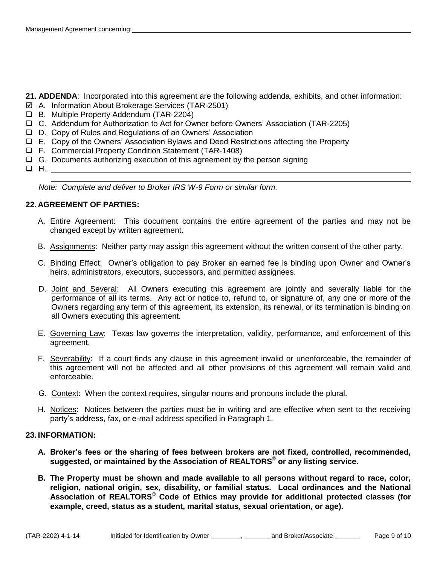- **21. ADDENDA**: Incorporated into this agreement are the following addenda, exhibits, and other information:
- A. Information About Brokerage Services (TAR-2501)
- B. Multiple Property Addendum (TAR-2204)
- C. Addendum for Authorization to Act for Owner before Owners' Association (TAR-2205)
- D. Copy of Rules and Regulations of an Owners' Association
- E. Copy of the Owners' Association Bylaws and Deed Restrictions affecting the Property
- F. Commercial Property Condition Statement (TAR-1408)
- $\Box$  G. Documents authorizing execution of this agreement by the person signing
- $\Box$  H.

*Note: Complete and deliver to Broker IRS W-9 Form or similar form.*

### **22. AGREEMENT OF PARTIES:**

- A. Entire Agreement: This document contains the entire agreement of the parties and may not be changed except by written agreement.
- B. Assignments: Neither party may assign this agreement without the written consent of the other party.
- C. Binding Effect: Owner's obligation to pay Broker an earned fee is binding upon Owner and Owner's heirs, administrators, executors, successors, and permitted assignees.
- D. Joint and Several: All Owners executing this agreement are jointly and severally liable for the performance of all its terms. Any act or notice to, refund to, or signature of, any one or more of the Owners regarding any term of this agreement, its extension, its renewal, or its termination is binding on all Owners executing this agreement.
- E. Governing Law: Texas law governs the interpretation, validity, performance, and enforcement of this agreement.
- F. Severability: If a court finds any clause in this agreement invalid or unenforceable, the remainder of this agreement will not be affected and all other provisions of this agreement will remain valid and enforceable.
- G. Context: When the context requires, singular nouns and pronouns include the plural.
- H. Notices: Notices between the parties must be in writing and are effective when sent to the receiving party's address, fax, or e-mail address specified in Paragraph 1.

#### **23. INFORMATION:**

- **A. Broker's fees or the sharing of fees between brokers are not fixed, controlled, recommended, suggested, or maintained by the Association of REALTORS**®  **or any listing service.**
- **B. The Property must be shown and made available to all persons without regard to race, color, religion, national origin, sex, disability, or familial status. Local ordinances and the National Association of REALTORS**®  **Code of Ethics may provide for additional protected classes (for example, creed, status as a student, marital status, sexual orientation, or age).**